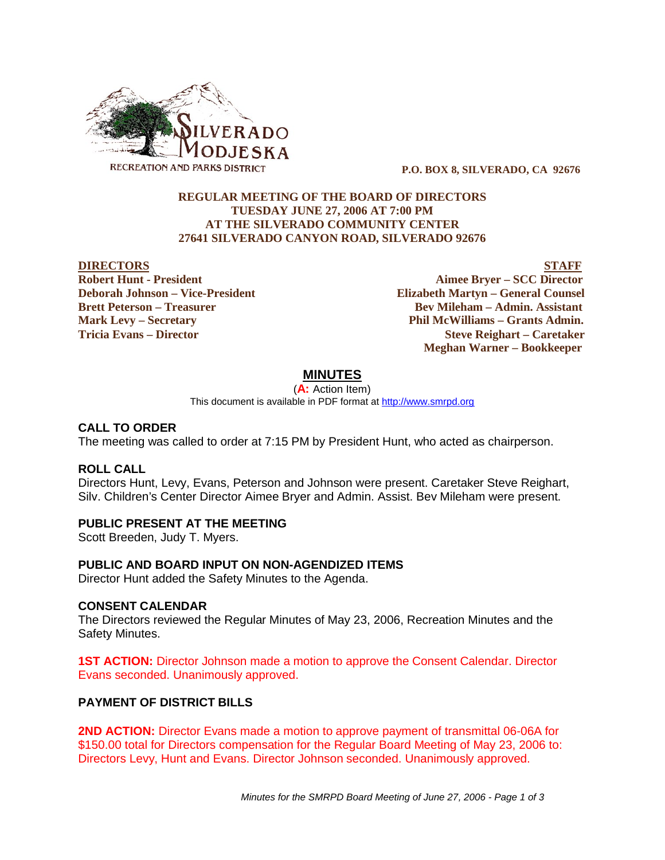

 **P.O. BOX 8, SILVERADO, CA 92676**

### **REGULAR MEETING OF THE BOARD OF DIRECTORS TUESDAY JUNE 27, 2006 AT 7:00 PM AT THE SILVERADO COMMUNITY CENTER 27641 SILVERADO CANYON ROAD, SILVERADO 92676**

#### **DIRECTORS STAFF**

**Robert Hunt - President Aimee Bryer – SCC Director Deborah Johnson – Vice-President Elizabeth Martyn – General Counsel Brett Peterson – Treasurer Serverson – Bev Mileham – Admin. Assistant Mark Levy – Secretary Phil McWilliams – Grants Admin. Tricia Evans – Director Steve Reighart – Caretaker Meghan Warner – Bookkeeper**

## **MINUTES**

(**A:** Action Item) This document is available in PDF format at http://www.smrpd.org

#### **CALL TO ORDER**

The meeting was called to order at 7:15 PM by President Hunt, who acted as chairperson.

### **ROLL CALL**

Directors Hunt, Levy, Evans, Peterson and Johnson were present. Caretaker Steve Reighart, Silv. Children's Center Director Aimee Bryer and Admin. Assist. Bev Mileham were present.

### **PUBLIC PRESENT AT THE MEETING**

Scott Breeden, Judy T. Myers.

### **PUBLIC AND BOARD INPUT ON NON-AGENDIZED ITEMS**

Director Hunt added the Safety Minutes to the Agenda.

#### **CONSENT CALENDAR**

The Directors reviewed the Regular Minutes of May 23, 2006, Recreation Minutes and the Safety Minutes.

**1ST ACTION:** Director Johnson made a motion to approve the Consent Calendar. Director Evans seconded. Unanimously approved.

### **PAYMENT OF DISTRICT BILLS**

**2ND ACTION:** Director Evans made a motion to approve payment of transmittal 06-06A for \$150.00 total for Directors compensation for the Regular Board Meeting of May 23, 2006 to: Directors Levy, Hunt and Evans. Director Johnson seconded. Unanimously approved.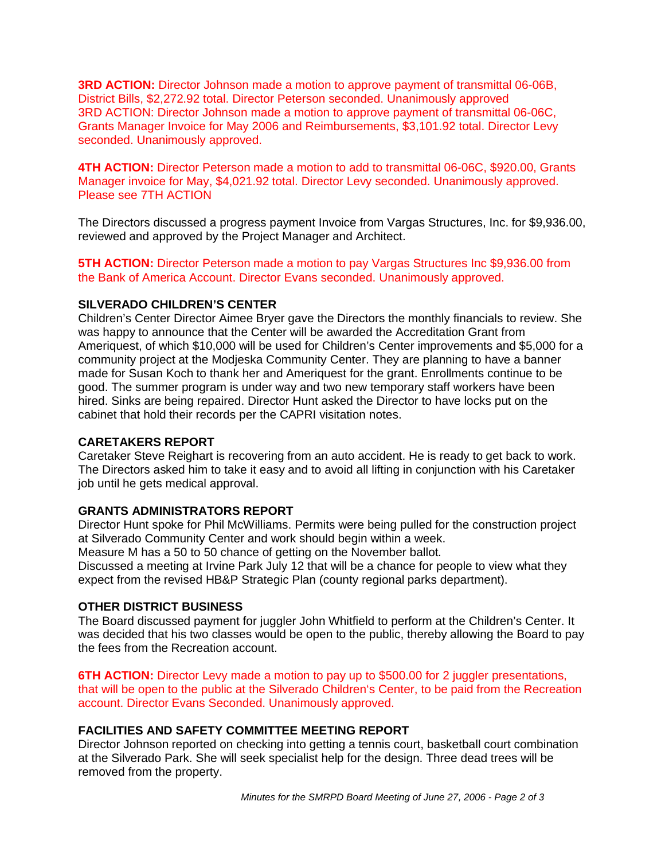**3RD ACTION:** Director Johnson made a motion to approve payment of transmittal 06-06B, District Bills, \$2,272.92 total. Director Peterson seconded. Unanimously approved 3RD ACTION: Director Johnson made a motion to approve payment of transmittal 06-06C, Grants Manager Invoice for May 2006 and Reimbursements, \$3,101.92 total. Director Levy seconded. Unanimously approved.

**4TH ACTION:** Director Peterson made a motion to add to transmittal 06-06C, \$920.00, Grants Manager invoice for May, \$4,021.92 total. Director Levy seconded. Unanimously approved. Please see 7TH ACTION

The Directors discussed a progress payment Invoice from Vargas Structures, Inc. for \$9,936.00, reviewed and approved by the Project Manager and Architect.

**5TH ACTION:** Director Peterson made a motion to pay Vargas Structures Inc \$9,936.00 from the Bank of America Account. Director Evans seconded. Unanimously approved.

## **SILVERADO CHILDREN'S CENTER**

Children's Center Director Aimee Bryer gave the Directors the monthly financials to review. She was happy to announce that the Center will be awarded the Accreditation Grant from Ameriquest, of which \$10,000 will be used for Children's Center improvements and \$5,000 for a community project at the Modjeska Community Center. They are planning to have a banner made for Susan Koch to thank her and Ameriquest for the grant. Enrollments continue to be good. The summer program is under way and two new temporary staff workers have been hired. Sinks are being repaired. Director Hunt asked the Director to have locks put on the cabinet that hold their records per the CAPRI visitation notes.

# **CARETAKERS REPORT**

Caretaker Steve Reighart is recovering from an auto accident. He is ready to get back to work. The Directors asked him to take it easy and to avoid all lifting in conjunction with his Caretaker job until he gets medical approval.

# **GRANTS ADMINISTRATORS REPORT**

Director Hunt spoke for Phil McWilliams. Permits were being pulled for the construction project at Silverado Community Center and work should begin within a week.

Measure M has a 50 to 50 chance of getting on the November ballot.

Discussed a meeting at Irvine Park July 12 that will be a chance for people to view what they expect from the revised HB&P Strategic Plan (county regional parks department).

### **OTHER DISTRICT BUSINESS**

The Board discussed payment for juggler John Whitfield to perform at the Children's Center. It was decided that his two classes would be open to the public, thereby allowing the Board to pay the fees from the Recreation account.

**6TH ACTION:** Director Levy made a motion to pay up to \$500.00 for 2 juggler presentations, that will be open to the public at the Silverado Children's Center, to be paid from the Recreation account. Director Evans Seconded. Unanimously approved.

# **FACILITIES AND SAFETY COMMITTEE MEETING REPORT**

Director Johnson reported on checking into getting a tennis court, basketball court combination at the Silverado Park. She will seek specialist help for the design. Three dead trees will be removed from the property.